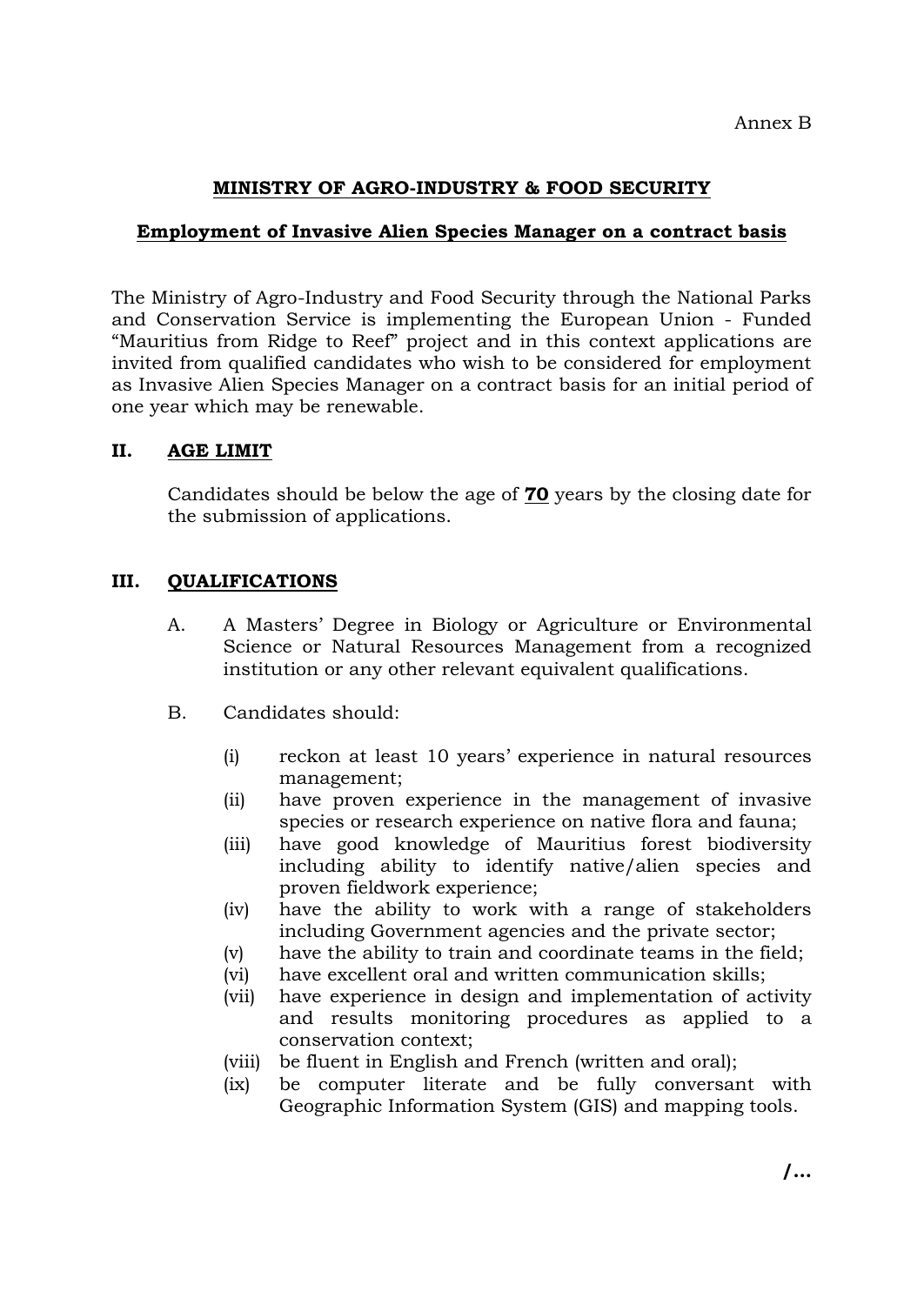# **MINISTRY OF AGRO-INDUSTRY & FOOD SECURITY**

# **Employment of Invasive Alien Species Manager on a contract basis**

The Ministry of Agro-Industry and Food Security through the National Parks and Conservation Service is implementing the European Union - Funded "Mauritius from Ridge to Reef" project and in this context applications are invited from qualified candidates who wish to be considered for employment as Invasive Alien Species Manager on a contract basis for an initial period of one year which may be renewable.

# **II. AGE LIMIT**

Candidates should be below the age of **70** years by the closing date for the submission of applications.

# **III. QUALIFICATIONS**

- A. A Masters' Degree in Biology or Agriculture or Environmental Science or Natural Resources Management from a recognized institution or any other relevant equivalent qualifications.
- B. Candidates should:
	- (i) reckon at least 10 years' experience in natural resources management;
	- (ii) have proven experience in the management of invasive species or research experience on native flora and fauna;
	- (iii) have good knowledge of Mauritius forest biodiversity including ability to identify native/alien species and proven fieldwork experience;
	- (iv) have the ability to work with a range of stakeholders including Government agencies and the private sector;
	- (v) have the ability to train and coordinate teams in the field;
	- (vi) have excellent oral and written communication skills;
	- (vii) have experience in design and implementation of activity and results monitoring procedures as applied to a conservation context;
	- (viii) be fluent in English and French (written and oral);
	- (ix) be computer literate and be fully conversant with Geographic Information System (GIS) and mapping tools.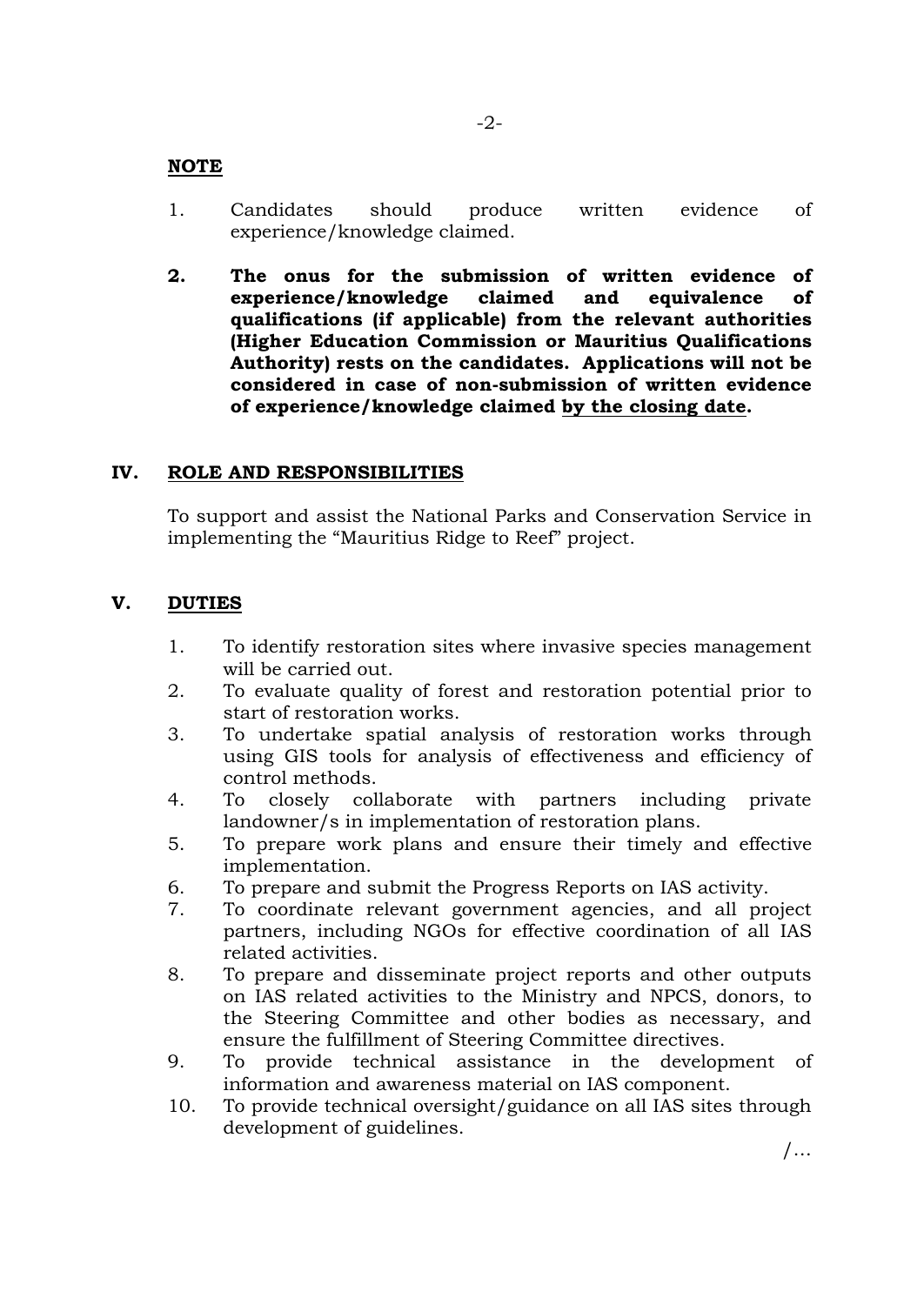#### **NOTE**

- 1. Candidates should produce written evidence of experience/knowledge claimed.
- **2. The onus for the submission of written evidence of experience/knowledge claimed and equivalence of qualifications (if applicable) from the relevant authorities (Higher Education Commission or Mauritius Qualifications Authority) rests on the candidates. Applications will not be considered in case of non-submission of written evidence of experience/knowledge claimed by the closing date.**

### **IV. ROLE AND RESPONSIBILITIES**

To support and assist the National Parks and Conservation Service in implementing the "Mauritius Ridge to Reef" project.

### **V. DUTIES**

- 1. To identify restoration sites where invasive species management will be carried out.
- 2. To evaluate quality of forest and restoration potential prior to start of restoration works.
- 3. To undertake spatial analysis of restoration works through using GIS tools for analysis of effectiveness and efficiency of control methods.
- 4. To closely collaborate with partners including private landowner/s in implementation of restoration plans.
- 5. To prepare work plans and ensure their timely and effective implementation.
- 6. To prepare and submit the Progress Reports on IAS activity.
- 7. To coordinate relevant government agencies, and all project partners, including NGOs for effective coordination of all IAS related activities.
- 8. To prepare and disseminate project reports and other outputs on IAS related activities to the Ministry and NPCS, donors, to the Steering Committee and other bodies as necessary, and ensure the fulfillment of Steering Committee directives.
- 9. To provide technical assistance in the development of information and awareness material on IAS component.
- 10. To provide technical oversight/guidance on all IAS sites through development of guidelines.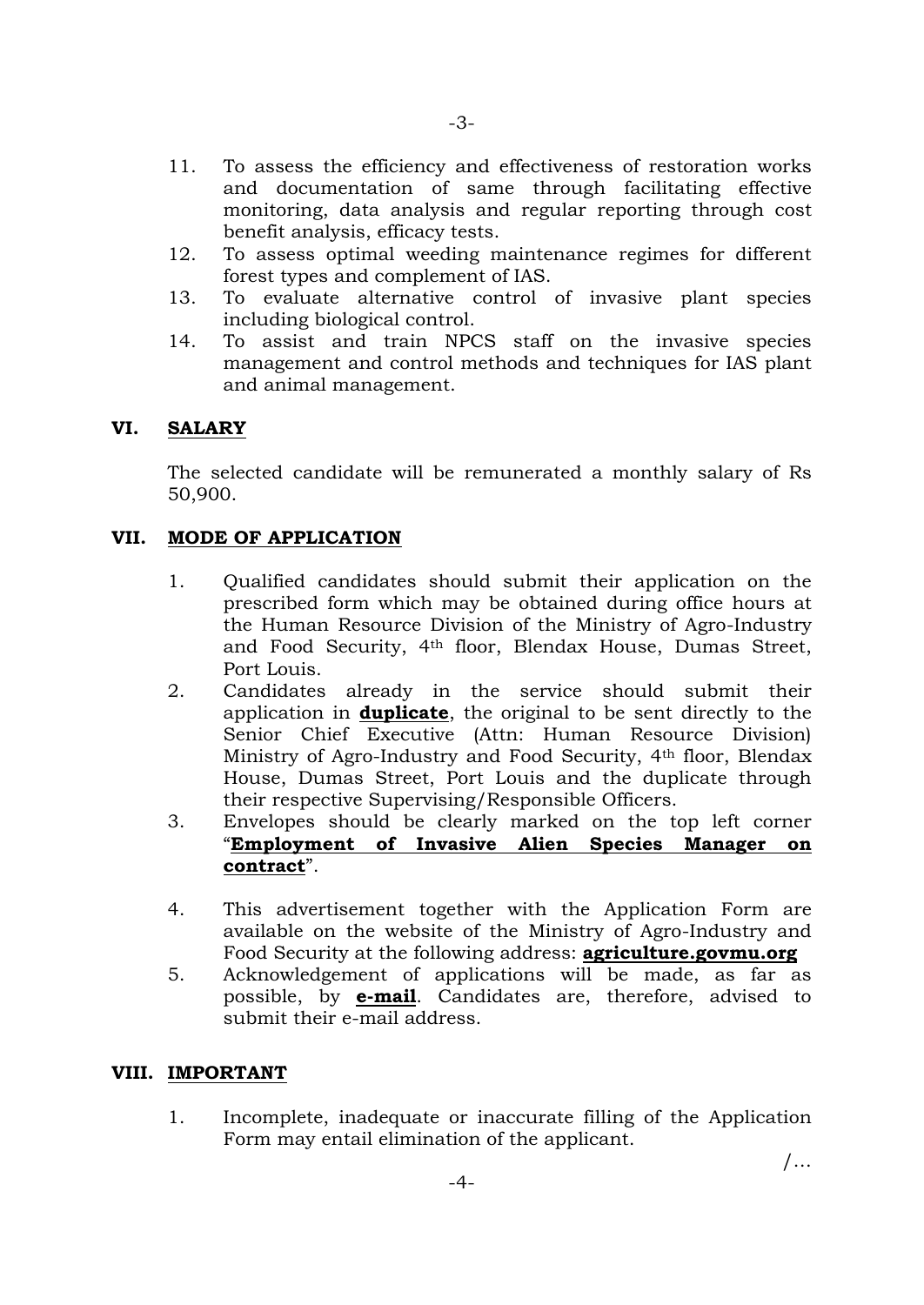- 11. To assess the efficiency and effectiveness of restoration works and documentation of same through facilitating effective monitoring, data analysis and regular reporting through cost benefit analysis, efficacy tests.
- 12. To assess optimal weeding maintenance regimes for different forest types and complement of IAS.
- 13. To evaluate alternative control of invasive plant species including biological control.
- 14. To assist and train NPCS staff on the invasive species management and control methods and techniques for IAS plant and animal management.

# **VI. SALARY**

The selected candidate will be remunerated a monthly salary of Rs 50,900.

# **VII. MODE OF APPLICATION**

- 1. Qualified candidates should submit their application on the prescribed form which may be obtained during office hours at the Human Resource Division of the Ministry of Agro-Industry and Food Security, 4th floor, Blendax House, Dumas Street, Port Louis.
- 2. Candidates already in the service should submit their application in **duplicate**, the original to be sent directly to the Senior Chief Executive (Attn: Human Resource Division) Ministry of Agro-Industry and Food Security, 4th floor, Blendax House, Dumas Street, Port Louis and the duplicate through their respective Supervising/Responsible Officers.
- 3. Envelopes should be clearly marked on the top left corner "**Employment of Invasive Alien Species Manager on contract**".
- 4. This advertisement together with the Application Form are available on the website of the Ministry of Agro-Industry and Food Security at the following address: **agriculture.govmu.org**
- 5. Acknowledgement of applications will be made, as far as possible, by **e-mail**. Candidates are, therefore, advised to submit their e-mail address.

### **VIII. IMPORTANT**

1. Incomplete, inadequate or inaccurate filling of the Application Form may entail elimination of the applicant.